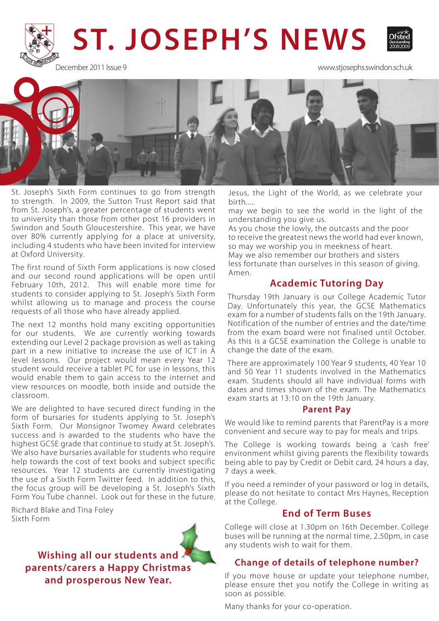# **ST. JOSEPH'S NEWS**



December 2011 Issue 9 www.stjosephs.swindon.sch.uk



St. Joseph's Sixth Form continues to go from strength to strength. In 2009, the Sutton Trust Report said that from St. Joseph's, a greater percentage of students went to university than those from other post 16 providers in Swindon and South Gloucestershire. This year, we have over 80% currently applying for a place at university, including 4 students who have been invited for interview at Oxford University.

The first round of Sixth Form applications is now closed and our second round applications will be open until February 10th, 2012. This will enable more time for students to consider applying to St. Joseph's Sixth Form whilst allowing us to manage and process the course requests of all those who have already applied.

The next 12 months hold many exciting opportunities for our students. We are currently working towards extending our Level 2 package provision as well as taking part in a new initiative to increase the use of ICT in A level lessons. Our project would mean every Year 12 student would receive a tablet PC for use in lessons, this would enable them to gain access to the internet and view resources on moodle, both inside and outside the classroom.

We are delighted to have secured direct funding in the form of bursaries for students applying to St. Joseph's Sixth Form. Our Monsignor Twomey Award celebrates success and is awarded to the students who have the highest GCSE grade that continue to study at St. Joseph's. We also have bursaries available for students who require help towards the cost of text books and subject specific resources. Year 12 students are currently investigating the use of a Sixth Form Twitter feed. In addition to this, the focus group will be developing a St. Joseph's Sixth Form You Tube channel. Look out for these in the future.

Richard Blake and Tina Foley Sixth Form

> **Wishing all our students and parents/carers a Happy Christmas and prosperous New Year.**

Jesus, the Light of the World, as we celebrate your birth.....

may we begin to see the world in the light of the understanding you give us.

As you chose the lowly, the outcasts and the poor to receive the greatest news the world had ever known, so may we worship you in meekness of heart. May we also remember our brothers and sisters less fortunate than ourselves in this season of giving. Amen.

#### **Academic Tutoring Day**

Thursday 19th January is our College Academic Tutor Day. Unfortunately this year, the GCSE Mathematics exam for a number of students falls on the 19th January. Notification of the number of entries and the date/time from the exam board were not finalised until October. As this is a GCSE examination the College is unable to change the date of the exam.

There are approximately 100 Year 9 students, 40 Year 10 and 50 Year 11 students involved in the Mathematics exam. Students should all have individual forms with dates and times shown of the exam. The Mathematics exam starts at 13:10 on the 19th January.

#### **Parent Pay**

We would like to remind parents that ParentPay is a more convenient and secure way to pay for meals and trips.

The College is working towards being a 'cash free' environment whilst giving parents the flexibility towards being able to pay by Credit or Debit card, 24 hours a day, 7 days a week.

If you need a reminder of your password or log in details, please do not hesitate to contact Mrs Haynes, Reception at the College.

#### **End of Term Buses**

College will close at 1.30pm on 16th December. College buses will be running at the normal time, 2.50pm, in case any students wish to wait for them.

#### **Change of details of telephone number?**

If you move house or update your telephone number, please ensure thet you notify the College in writing as soon as possible.

Many thanks for your co-operation.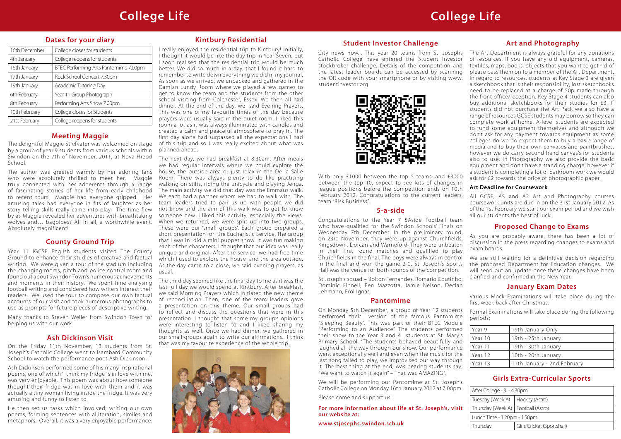#### **Dates for your diary**

| 16th December | College closes for students           |
|---------------|---------------------------------------|
| 4th January   | College reopens for students          |
| 16th January  | BTEC Performing Arts Pantomime 7.00pm |
| 17th January  | Rock School Concert 7.30pm            |
| 19th January  | Academic Tutoring Day                 |
| 6th February  | Year 11 Group Photograph              |
| 8th February  | Performing Arts Show 7.00pm           |
| 10th February | College closes for Students           |
| 21st February | College reopens for students          |

#### **Kintbury Residential**

I really enjoyed the residential trip to Kintbury! Initially, I thought it would be like the day trip in Year Seven, but I soon realised that the residential trip would be much better. We did so much in a day, that I found it hard to remember to write down everything we did in my journal. As soon as we arrived, we unpacked and gathered in the Damian Lundy Room where we played a few games to get to know the team and the students from the other school visiting from Colchester, Essex. We then all had dinner. At the end of the day, we said Evening Prayers. This was one of my favourite times of the day because prayers were usually said in the quiet room. I liked this room a lot as it was always illuminated with candles and created a calm and peaceful atmosphere to pray in. The first day alone had surpassed all the expectations I had of this trip and so I was really excited about what was planned ahead.

The next day, we had breakfast at 8.30am. After meals we had regular intervals where we could explore the house, the outside area or just relax in the De la Salle Room. There was always plenty to do like practising walking on stilts, riding the unicycle and playing Jenga. The main activity we did that day was the Emmaus walk. We each had a partner whom we had to walk with. The team leaders tried to pair us up with people we did not know and the aim of this walk was to get to know someone new. I liked this activity, especially the views. When we returned, we were split up into two groups. These were our 'small groups'. Each group prepared a short presentation for the Eucharistic Service. The group that I was in did a mini puppet show. It was fun making each of the characters. I thought that our idea was really unique and original. After the service, we had free time which I used to explore the house and the area outside. As the day came to a close, we said evening prayers, as usual.

The third day seemed like the final day to me as it was the last full day we would spend at Kintbury. After breakfast, we said Morning Prayers which initiated the new theme of reconciliation. Then, one of the team leaders gave a presentation on this theme. Our small groups had to reflect and discuss the questions that were in this presentation. I thought that some my group's opinions were interesting to listen to and I liked sharing my thoughts as well. Once we had dinner, we gathered in our small groups again to write our affirmations. I think that was my favourite experience of the whole trip.



#### **January Exam Dates**

Various Mock Examinations will take place during the first week back after Christmas.

| Year 9  | 19th January Only           |
|---------|-----------------------------|
| Year 10 | 19th - 25th January         |
| Year 11 | 19th - 30th January         |
| Year 12 | 10th - 20th January         |
| Year 13 | 11th January - 2nd February |

### **Meeting Maggie**

The delightful Maggie Stiefvater was welcomed on stage by a group of year 9 students from various schools within Swindon on the 7th of November, 2011, at Nova Hreod School.

The author was greeted warmly by her adoring fans who were absolutely thrilled to meet her. Maggie truly connected with her adherents through a range of fascinating stories of her life from early childhood to recent tours. Maggie had everyone gripped. Her amusing tales had everyone in fits of laughter as her story telling skills really came into play. The time flew by as Maggie revealed her adventures with breathtaking wolves and… bagpipes? All in all, a worthwhile event. Absolutely magnificent!

## **Student Investor Challenge**

between the top 10, expect to see lots of changes in league positions before the competition ends on 10th February 2012. Congratulations to the current leaders, team "Risk Business".

### **Ash Dickinson Visit**

On the Friday 11th November, 13 students from St. Joseph's Catholic College went to Isambard Community School to watch the performance poet Ash Dickinson.

Ash Dickinson performed some of his many inspirational poems, one of which 'I think my fridge is in love with me.' was very enjoyable. This poem was about how someone thought their fridge was in love with them and it was actually a tiny woman living inside the fridge. It was very amusing and funny to listen to.

He then set us tasks which involved; writing our own poems, forming sentences with alliteration, similes and metaphors. Overall, it was a very enjoyable performance.

City news now... This year 20 teams from St. Josephs Catholic College have entered the Student Investor stockbroker challenge. Details of the competition and the latest leader boards can be accessed by scanning the QR code with your smartphone or by visiting www. studentinvestor.org With only £1000 between the top 5 teams, and £3000 The Art Department is always grateful for any donations of resources, if you have any old equipment, cameras, textiles, maps, books, objects that you want to get rid of please pass them on to a member of the Art Department. In regard to resources, students at Key Stage 3 are given a sketchbook that is their responsibility, lost sketchbooks need to be replaced at a charge of 50p made through the front office/reception. Key Stage 4 students can also buy additional sketchbooks for their studies for £3. If students did not purchase the Art Pack we also have a range of resources GCSE students may borrow so they can complete work at home. A-level students are expected to fund some equipment themselves and although we don't ask for any payment towards equipment as some colleges do we do expect them to buy a basic range of media and to buy their own canvases and paintbrushes, however we do carry second hand canvas's for students also to use. In Photography we also provide the basic equipment and don't have a standing charge, however if a student is completing a lot of darkroom work we would ask for £2 towards the price of photographic paper.



#### **Art and Photography**

Formal Examinations will take place during the following periods: Year 9 | 19th January Only Year 10 | 19th - 25th January Year 11 | 19th - 30th January Year 12 | 10th - 20th January Year 13 | 11th January - 2nd February On Monday 5th December, a group of Year 12 students performed their version of the famous Pantomime "Sleeping Beauty". This was part of their BTEC Module "Performing to an Audience". The students performed their show to the Year 3 and 4 students at St. Mary's Primary School. "The students behaved beautifully and laughed all the way through our show. Our performance went exceptionally well and even when the music for the last song failed to play, we improvised our way through it. The best thing at the end, was hearing students say; "We want to watch it again" – That was AMAZING".

#### **Art Deadline for Coursework**

All GCSE, AS and A2 Art and Photography courses coursework units are due in on the 31st January 2012. As of the 1st February we start our exam period and we wish all our students the best of luck.

### **County Ground Trip**

Year 11 IGCSE English students visited The County Ground to enhance their studies of creative and factual writing. We were given a tour of the stadium including the changing rooms, pitch and police control room and found out about Swindon Town's numerous achievements and moments in their history. We spent time analysing football writing and considered how writers interest their readers. We used the tour to compose our own factual accounts of our visit and took numerous photographs to use as prompts for future pieces of descriptive writing.

Many thanks to Steven Weller from Swindon Town for helping us with our work.

#### **5-a-side**

St Joseph's squad – Bolton Fernandes, Romario Coutinho, Dominic Finnell, Ben Mazzotta, Jamie Nelson, Declan Lehmann, Erol Ignas

#### **Pantomime**

Congratulations to the Year 7 5Aside Football team who have qualified for the Swindon Schools' Finals on Wednesday 7th December. In the preliminary round, on 23rd November, they were up against Churchfields, Kingsdown, Dorcan and Warneford. They were unbeaten in their first round matches and qualified to play Churchfields in the final. The boys were always in control in the final and won the game 2-0. St. Joseph's Sports Hall was the venue for both rounds of the competition. **Proposed Change to Exams** As you are probably aware, there has been a lot of discussion in the press regarding changes to exams and exam boards. We are still waiting for a definitive decision regarding the proposed Department for Education changes. We will send out an update once these changes have been clarified and confirmed in the New Year.

We will be performing our Pantomime at St. Joseph's Catholic College on Monday 16th January 2012 at 7.00pm.

Please come and support us!

#### **Girls Extra-Curricular Sports**

| After College - 3 - 4.30pm           |                             |  |  |
|--------------------------------------|-----------------------------|--|--|
| Tuesday (Week A)   Hockey (Astro)    |                             |  |  |
| Thursday (Week A)   Football (Astro) |                             |  |  |
| Lunch Time - 1.20pm - 1.50pm         |                             |  |  |
| Thursday                             | Girls' Cricket (Sportshall) |  |  |

**For more information about life at St. Joseph's, visit our website at:**

**www.stjosephs.swindon.sch.uk**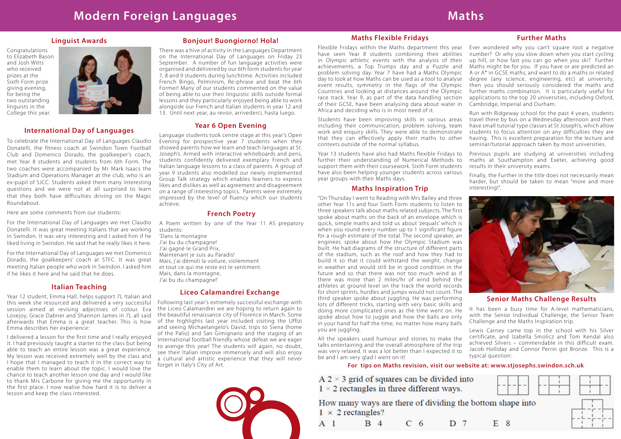#### **Linguist Awards**

Congratulations to Elizabeth Bason and Josh Witts who received prizes at the Sixth Form prize giving evening, for being the two outstanding linguists in the College this year.



#### **International Day of Languages**

To celebrate the International Day of Languages Claudio Donatelli, the fitness coach at Swindon Town Football Club and Domenico Dorado, the goalkeeper's coach, met Year 8 students and students from 6th Form. The two coaches were accompanied by Mr Mark Isaacs the Stadium and Operations Manager at the club, who is an ex-pupil of SJCC. Students asked them many interesting questions and we were not at all surprised to learn that they both have difficulties driving on the Magic Roundabout.

Here are some comments from our students:

For the International Day of Languages we met Claudio Donatelli. It was great meeting Italians that are working in Swindon. It was very interesting and I asked him if he liked living in Swindon. He said that he really likes it here.

For the International Day of Languages we met Domenico Dorado, the goalkeepers' coach at STFC. It was great meeting Italian people who work in Swindon. I asked him if he likes it here and he said that he does.

#### **French Poetry**

A Poem written by one of the Year 11 AS prepatory students: 'Dans la montagne

J'ai bu du champagne! J'ai gagné le Grand Prix, Maintenant je suis au Paradis! Mais, j'ai démoli la voiture, violemment et tout ce qui me reste est le sentiment. Mais, dans la montagne, J'ai bu du champagne!'

#### **Italian Teaching**

Year 12 student, Emma Hall, helps support 7L Italian and this week she resourced and delivered a very successful session aimed at revising adjectives of colour. Eva Lovejoy, Grace Dabner and Shannon James in 7L all said afterwards that Emma is a great teacher. This is how Emma describes her experience:

I delivered a lesson for the first time and I really enjoyed it. I had previously taught a starter to the class but being able to teach an entire lesson was a great experience. My lesson was received extremely well by the class and I hope that I managed to teach it in the correct way to enable them to learn about the topic. I would love the chance to teach another lesson one day and I would like to thank Mrs Carbone for giving me the opportunity in the first place. I now realise how hard it is to deliver a lesson and keep the class interested.

#### **Further Maths**





certificate, and Izabella Smolicz and Tom Kendal also achieved Silvers – commendable in this difficult exam. Jacob Holliday and Connor Perrin got Bronze. This is a typical question: All the speakers used humour and stories to make the talks entertaining and the overall atmosphere of the trip was very relaxed. It was a lot better than I expected it to be and I am very glad I went on it!

Ever wondered why you can't square root a negative number? Or why you slow down when you start cycling up hill, or how fast you can go when you ski? Further Maths might be for you. If you have or are predicted an A or A\* in GCSE maths, and want to do a maths or related degree (any science, engineering, etc) at university, then you should seriously considered the maths and further maths combination. It is particularly useful for applications to the top 20 universities, including Oxford, Cambridge, Imperial and Durham. Flexible Fridays within the Maths department this year have seen Year 8 students combining their abilities in Olympic athletic events with the analysis of their achievements, a Top Trumps day and a Puzzle and problem solving day. Year 7 have had a Maths Olympic day to look at how Maths can be used as a tool to analyse event results, symmetry in the flags of the Olympic Countries and looking at distances around the Olympic race track. Year 9, as part of the data handling section of their GCSE, have been analysing data about water in Africa and deciding who is in most need of it.

#### **Maths Flexible Fridays**

Run with Ridgeway school for the past 4 years, students travel there by bus on a Wednesday afternoon and then have small tutorial type classes at St Joseph's, which allow students to focus attention on any difficulties they are having. This is excellent preparation for the lecture and seminar/tutorial approach taken by most universities. Students have been improving skills in various areas including their communication, problem solving, team work and enquiry skills. They were able to demonstrate that they can effectively apply their maths to other contexts outside of the normal syllabus.

Previous pupils are studying at universities including maths at Southampton and Exeter, achieving good results in their university exams. Finally, the Further in the title does not necessarily mean harder, but should be taken to mean "more and more interesting!". Year 13 students have also had Maths flexible Fridays to further their understanding of Numerical Methods to support them with their coursework. Sixth Form students have also been helping younger students across various year groups with their Maths days.

#### **Maths Inspiration Trip**

**Senior Maths Challenge Results** It has been a busy time for A-level mathematicians, with the Senior Individual Challenge, the Senior Team Challenge and the Maths Inspiration trip. Lewis Carney came top in the school with his Silver "On Thursday I went to Reading with Mrs Bailey and three other Year 11s and four Sixth Form students to listen to three speakers talk about maths related subjects. The first spoke about maths on the back of an envelope which is quick, simple maths and told us about 'zequals' which is when you round every number up to 1 significant figure for a rough estimate of the total. The second speaker, an engineer, spoke about how the Olympic Stadium was built. He had diagrams of the structure of different parts of the stadium, such as the roof and how they had to build it so that it could withstand the weight, change in weather and would still be in good condition in the future and so that there was not too much wind as if there was more than 2 miles/hr of wind behind the athletes at ground level on the track the world records for short sprints, hurdles and jumps would not count. The third speaker spoke about juggling. He was performing lots of different tricks, starting with very basic skills and doing more complicated ones as the time went on. He spoke about how to juggle and how the balls are only in your hand for half the time, no matter how many balls you are juggling.

#### **Bonjour! Buongiorno! Hola!**

There was a hive of activity in the Languages Department on the International Day of Languages on Friday 23 September. A number of fun language activities were organised and delivered by our 6th form students for year 7, 8 and 9 students during lunchtime. Activities included French Bingo, Pelminism, Re-phrase and beat the 6th Former! Many of our students commented on the value of being able to use their linguistic skills outside formal lessons and they particularly enjoyed being able to work alongside our French and Italian students in year 12 and 13. Until next year, au revoir, arrivederci, hasta luego.

#### **Year 6 Open Evening**

Language students took centre stage at this year's Open Evening for prospective year 7 students when they showed parents how we learn and teach languages at St. Joseph's. Armed with interactive whiteboards and pens, students confidently delivered exemplary French and Italian language lessons to a class of parents. A group of year 9 students also modelled our newly implemented Group Talk strategy which enables learners to express likes and dislikes as well as agreement and disagreement on a range of interesting topics. Parents were extremely impressed by the level of fluency which our students achieve.

#### **For tips on Maths revision, visit our website at: www.stjosephs.swindon.sch.uk**

 $A$  2  $\times$  3 grid of squares can be divided into  $1 \times 2$  rectangles in three different ways.

How many ways are there of dividing the bottom shape into  $1 \times 2$  rectangles?

| D <sub>7</sub><br>A <sub>1</sub><br>C <sub>6</sub><br>B 4 |  |
|-----------------------------------------------------------|--|
|-----------------------------------------------------------|--|

#### **Liceo Calamandrei Exchange**

Following last year's extremely successful exchange with the Liceo Calamandrei we are hoping to return again to the beautiful renaissance city of Florence in March. Some of the highlights last year included visiting the Uffizi and seeing Michaelangelo's David, trips to Siena (home of the Palio) and San Gimignano and the staging of an international football friendly whose defeat we are eager to avenge this year! The students will again, no doubt, see their Italian improve immensely and will also enjoy a cultural and artistic experience that they will never forget in Italy's City of Art.

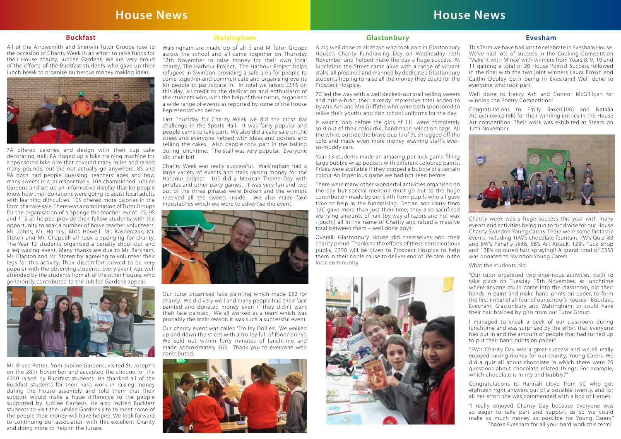# **House News**

#### **Walsingham**

Walsingham are made up of all E and M Tutor Groups across the school and all came together on Thursday 17th November to raise money for their own local charity, The Harbour Project. The Harbour Project helps refugees in Swindon providing a safe area for people to come together and communicate and organising events for people to participate in. In total we raised £315 on this day, all credit to the dedication and enthusiasm of the students who, with the help of their tutors, organised a wide range of events as reported by some of the House Representatives below:

Last Thursday for Charity Week we did the cross bar challenge in the Sports Hall. It was fairly popular and people came to take part. We also did a cake sale on the street and everyone helped with ideas and posters and selling the cakes. Also people took part in the baking during lunchtime. The stall was very popular. Everyone did their bit!

Charity Week was really successful. Walsingham had a large variety of events and stalls raising money for the Harbour project. 10E did a Mexican Theme Day with piñatas and other party games. It was very fun and two out of the three piñatas were broken and the winners received all the sweets inside. We also made fake moustaches which we wore to advertise the event.



Charity week was a huge success this year with many events and activities being run to fundraise for our House Charity Swindon Young Carers. There were some fantastic events including 10W's chocolate fountain, 7W's Quiz, 8B and 8W's Penalty skills, 9B's Art Attack, 12B's Tuck Shop and 13B's coloured hair spraying!! A grand total of £350 was donated to Swindon Young Carers.

Our tutor organised face painting which made £52 for charity. We did very well and many people had their face painted and donated money even if they didn't want their face painted. We all worked as a team which was probably the main reason it was such a successful event.

Our charity event was called 'Trolley Dollies'. We walked up and down the street with a trolley full of food/ drinks. We sold out within forty minutes of lunchtime and made approximately £63. Thank you to everyone who contributed.



# **House News**

#### **Evesham**

This Term we have had lots to celebrate in Evesham House. We've had lots of success in the Cooking Competition 'Make it with Mince' with winners from Years 8, 9, 10 and 11 gaining a total of 20 House Points! Success followed in the final with the two joint winners Laura Brown and Caitlin Dooley both being in Evesham!! Well done to everyone who took part!

Well done to Henry Ash and Connor McGilligan for winning the Poetry Competition!

Congratulations to Emily Baker(10B) and Natalia Arciuchiewicz (9B) for their winning entries in the House Art competition. Their work was exhibited at Steam on 12th November.



What the students did:

"Our tutor organised two enormous activities, both to take place on Tuesday 15th November, at lunchtime where anyone could come into the classroom, dip their hands in paint and make hand prints on paper, to form the first initial of all four of our school's houses - Buckfast, Evesham, Glastonbury and Walsingham; or could have their hair braided by girls from our Tutor Group.

I managed to sneak a peek of our classroom during lunchtime and was surprised by the effort that everyone had put in and the amount of people that had turned up to put their hand prints on paper."

"7W's Charity Day was a great success and we all really enjoyed raising money for our charity; Young Carers. We did a quiz all about chocolate in which there were 20 questions about chocolate related things. For example, which chocolate is minty and bubbly?"

Congratulations to Hannah Lloyd from 9C who got eighteen right answers out of a possible twenty, and for all her effort she was commended with a box of Heroes.

"I really enjoyed Charity Day because everyone was so eager to take part and support us so we could make as much money as possible for Young Carers." Thanks Evesham for all your hard work this term!

#### **Glastonbury**

A big well done to all those who took part in Glastonbury House's Charity Fundraising Day on Wednesday 16th November and helped make the day a huge success. At lunchtime the Street came alive with a range of vibrant stalls, all prepared and manned by dedicated Glastonbury students hoping to raise all the money they could for the Prospect Hospice.

7C led the way with a well decked-out stall selling sweets and bric-a-brac; their already impressive total added to by Mrs Ash and Mrs Griffiths who were both sponsored to relive their youths and don school uniforms for the day.

It wasn't long before the girls of 11L were completely sold out of their colourful, handmade selection bags. All the while, outside the brave pupils of 9L shrugged off the cold and made even more money washing staff's everso-muddy cars.

Year 13 students made an amazing pot luck game filling large bubble wrap pockets with different coloured paints. Prizes were available if they popped a bubble of a certain colour An ingenious game we had not seen before

There were many other wonderful activities organised on the day but special mention must go out to the huge contribution made by our Sixth Form pupils who all gave time to help in the fundraising. Declan and Harry from 12C gave more than just their time; they also sacrificed worrying amounts of hair (by way of razors and hot wax - ouch!) all in the name of Charity and raised a massive total between them – well done boys!

Overall, Glastonbury House did themselves and their charity proud. Thanks to the efforts of these conscientious pupils, £350 will be given to Prospect Hospice to help them in their noble cause to deliver end of life care in the local community.



#### **Buckfast**

All of the Arrowsmith and Sherwin Tutor Groups rose to the occasion of Charity Week in an effort to raise funds for their House charity, Jubilee Gardens. We are very proud of the efforts of the Buckfast students who gave up their lunch break to organise numerous money making ideas.



7A offered calories and design with their cup cake decorating stall; 8A rigged up a bike training machine for a sponsored bike ride that covered many miles and raised many pounds, but did not actually go anywhere. 8S and 9A both had people guessing, teachers' ages and how many sweets in a jar respectively. 10A championed Jubilee Gardens and set up an informative display that let people know how their donations were going to assist local adults with learning difficulties. 10S offered more calories in the form of a cake sale. There was a combination of Tutor Groups for the organisation of a 'sponge the teacher' event. 7S, 9S and 11S all helped provide their fellow students with the opportunity to soak a number of brave teacher volunteers, Mr. Johns; Mr. Harney; Miss Howell; Mr. Kasperczak; Mr. Stoten and Mr. Chappell all took a sponging for charity. The Year 12 students organised a penalty shoot-out and a leg waxing event. Many thanks are due to Mr. Barkham, Mr. Clapton and Mr. Stoten for agreeing to volunteer their legs for this activity. Their discomfort proved to be very popular with the observing students. Every event was well attended by the students from all of the other Houses, who generously contributed to the Jubilee Gardens appeal.



Mr. Bruce Potter, from Jubilee Gardens, visited St. Joseph's on the 28th November and accepted the cheque for the £350 raised by Buckfast students. He thanked all of the Buckfast students for their hard work in raising money during the House assembly and told them that their support would make a huge difference to the people supported by Jubilee Gardens. He also invited Buckfast students to visit the Jubilee Gardens site to meet some of the people their money will have helped. We look forward to continuing our association with this excellent Charity and doing more to help in the future.